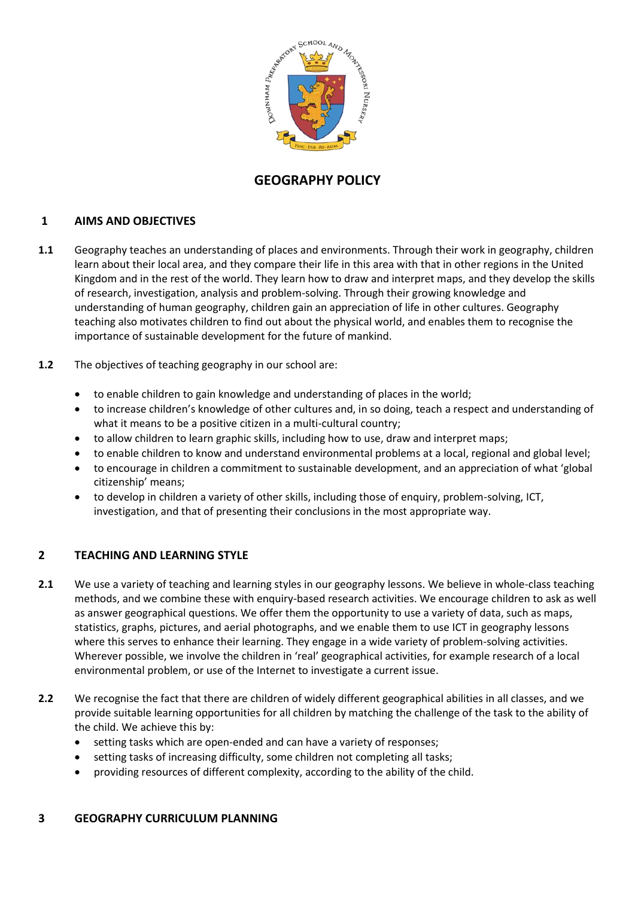

# **GEOGRAPHY POLICY**

# **1 AIMS AND OBJECTIVES**

- **1.1** Geography teaches an understanding of places and environments. Through their work in geography, children learn about their local area, and they compare their life in this area with that in other regions in the United Kingdom and in the rest of the world. They learn how to draw and interpret maps, and they develop the skills of research, investigation, analysis and problem-solving. Through their growing knowledge and understanding of human geography, children gain an appreciation of life in other cultures. Geography teaching also motivates children to find out about the physical world, and enables them to recognise the importance of sustainable development for the future of mankind.
- **1.2** The objectives of teaching geography in our school are:
	- to enable children to gain knowledge and understanding of places in the world;
	- to increase children's knowledge of other cultures and, in so doing, teach a respect and understanding of what it means to be a positive citizen in a multi-cultural country;
	- to allow children to learn graphic skills, including how to use, draw and interpret maps;
	- to enable children to know and understand environmental problems at a local, regional and global level;
	- to encourage in children a commitment to sustainable development, and an appreciation of what 'global citizenship' means;
	- to develop in children a variety of other skills, including those of enquiry, problem-solving, ICT, investigation, and that of presenting their conclusions in the most appropriate way.

# **2 TEACHING AND LEARNING STYLE**

- **2.1** We use a variety of teaching and learning styles in our geography lessons. We believe in whole-class teaching methods, and we combine these with enquiry-based research activities. We encourage children to ask as well as answer geographical questions. We offer them the opportunity to use a variety of data, such as maps, statistics, graphs, pictures, and aerial photographs, and we enable them to use ICT in geography lessons where this serves to enhance their learning. They engage in a wide variety of problem-solving activities. Wherever possible, we involve the children in 'real' geographical activities, for example research of a local environmental problem, or use of the Internet to investigate a current issue.
- **2.2** We recognise the fact that there are children of widely different geographical abilities in all classes, and we provide suitable learning opportunities for all children by matching the challenge of the task to the ability of the child. We achieve this by:
	- setting tasks which are open-ended and can have a variety of responses;
	- setting tasks of increasing difficulty, some children not completing all tasks;
	- providing resources of different complexity, according to the ability of the child.

### **3 GEOGRAPHY CURRICULUM PLANNING**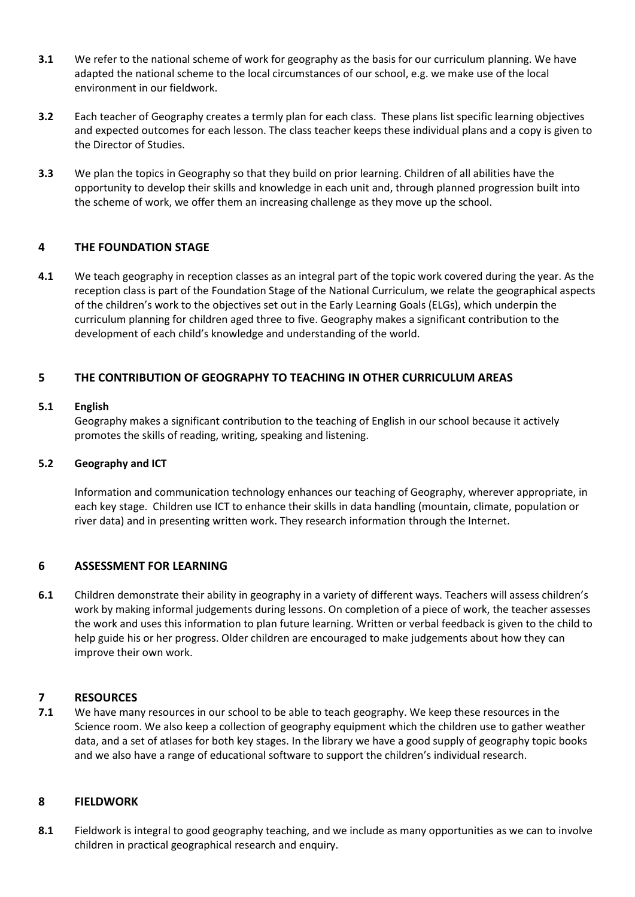- **3.1** We refer to the national scheme of work for geography as the basis for our curriculum planning. We have adapted the national scheme to the local circumstances of our school, e.g. we make use of the local environment in our fieldwork.
- **3.2** Each teacher of Geography creates a termly plan for each class. These plans list specific learning objectives and expected outcomes for each lesson. The class teacher keeps these individual plans and a copy is given to the Director of Studies.
- **3.3** We plan the topics in Geography so that they build on prior learning. Children of all abilities have the opportunity to develop their skills and knowledge in each unit and, through planned progression built into the scheme of work, we offer them an increasing challenge as they move up the school.

## **4 THE FOUNDATION STAGE**

**4.1** We teach geography in reception classes as an integral part of the topic work covered during the year. As the reception class is part of the Foundation Stage of the National Curriculum, we relate the geographical aspects of the children's work to the objectives set out in the Early Learning Goals (ELGs), which underpin the curriculum planning for children aged three to five. Geography makes a significant contribution to the development of each child's knowledge and understanding of the world.

## **5 THE CONTRIBUTION OF GEOGRAPHY TO TEACHING IN OTHER CURRICULUM AREAS**

#### **5.1 English**

Geography makes a significant contribution to the teaching of English in our school because it actively promotes the skills of reading, writing, speaking and listening.

#### **5.2 Geography and ICT**

Information and communication technology enhances our teaching of Geography, wherever appropriate, in each key stage. Children use ICT to enhance their skills in data handling (mountain, climate, population or river data) and in presenting written work. They research information through the Internet.

### **6 ASSESSMENT FOR LEARNING**

**6.1** Children demonstrate their ability in geography in a variety of different ways. Teachers will assess children's work by making informal judgements during lessons. On completion of a piece of work, the teacher assesses the work and uses this information to plan future learning. Written or verbal feedback is given to the child to help guide his or her progress. Older children are encouraged to make judgements about how they can improve their own work.

### **7 RESOURCES**

**7.1** We have many resources in our school to be able to teach geography. We keep these resources in the Science room. We also keep a collection of geography equipment which the children use to gather weather data, and a set of atlases for both key stages. In the library we have a good supply of geography topic books and we also have a range of educational software to support the children's individual research.

#### **8 FIELDWORK**

**8.1** Fieldwork is integral to good geography teaching, and we include as many opportunities as we can to involve children in practical geographical research and enquiry.